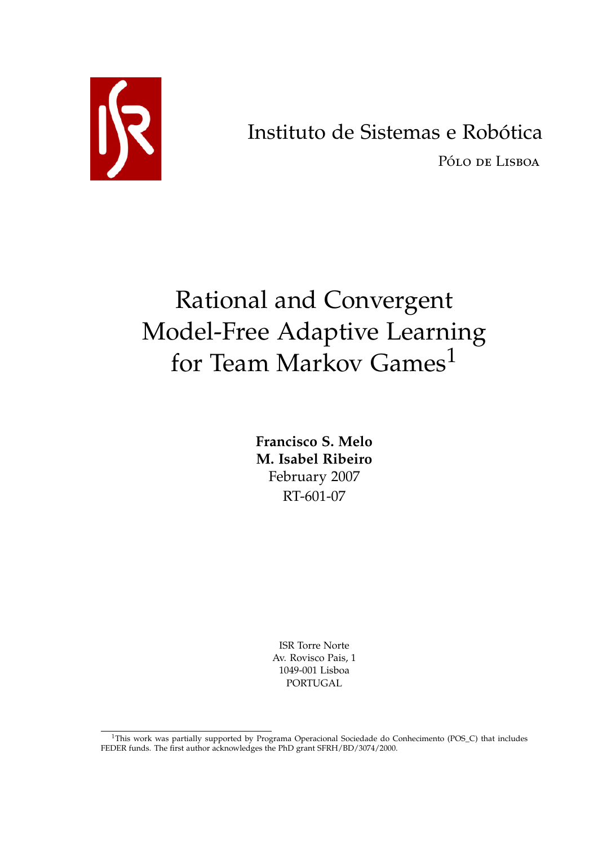

# Instituto de Sistemas e Robótica

Pólo de Lisboa

# Rational and Convergent Model-Free Adaptive Learning for Team Markov Games<sup>[1](#page-0-0)</sup>

**Francisco S. Melo M. Isabel Ribeiro** February 2007 RT-601-07

> ISR Torre Norte Av. Rovisco Pais, 1 1049-001 Lisboa PORTUGAL

<span id="page-0-0"></span><sup>&</sup>lt;sup>1</sup>This work was partially supported by Programa Operacional Sociedade do Conhecimento (POS\_C) that includes FEDER funds. The first author acknowledges the PhD grant SFRH/BD/3074/2000.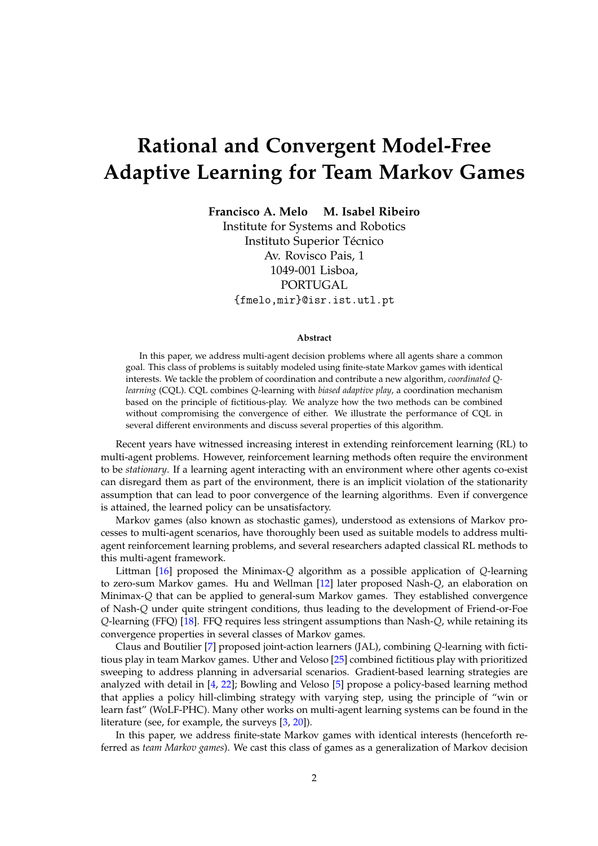# **Rational and Convergent Model-Free Adaptive Learning for Team Markov Games**

**Francisco A. Melo M. Isabel Ribeiro**

Institute for Systems and Robotics Instituto Superior Técnico Av. Rovisco Pais, 1 1049-001 Lisboa, PORTUGAL {fmelo,mir}@isr.ist.utl.pt

#### **Abstract**

In this paper, we address multi-agent decision problems where all agents share a common goal. This class of problems is suitably modeled using finite-state Markov games with identical interests. We tackle the problem of coordination and contribute a new algorithm, *coordinated Qlearning* (CQL). CQL combines *Q*-learning with *biased adaptive play*, a coordination mechanism based on the principle of fictitious-play. We analyze how the two methods can be combined without compromising the convergence of either. We illustrate the performance of CQL in several different environments and discuss several properties of this algorithm.

Recent years have witnessed increasing interest in extending reinforcement learning (RL) to multi-agent problems. However, reinforcement learning methods often require the environment to be *stationary*. If a learning agent interacting with an environment where other agents co-exist can disregard them as part of the environment, there is an implicit violation of the stationarity assumption that can lead to poor convergence of the learning algorithms. Even if convergence is attained, the learned policy can be unsatisfactory.

Markov games (also known as stochastic games), understood as extensions of Markov processes to multi-agent scenarios, have thoroughly been used as suitable models to address multiagent reinforcement learning problems, and several researchers adapted classical RL methods to this multi-agent framework.

Littman [\[16\]](#page-16-0) proposed the Minimax-*Q* algorithm as a possible application of *Q*-learning to zero-sum Markov games. Hu and Wellman [\[12\]](#page-16-1) later proposed Nash-*Q*, an elaboration on Minimax-*Q* that can be applied to general-sum Markov games. They established convergence of Nash-*Q* under quite stringent conditions, thus leading to the development of Friend-or-Foe *Q*-learning (FFQ) [\[18\]](#page-16-2). FFQ requires less stringent assumptions than Nash-*Q*, while retaining its convergence properties in several classes of Markov games.

Claus and Boutilier [\[7\]](#page-16-3) proposed joint-action learners (JAL), combining *Q*-learning with fictitious play in team Markov games. Uther and Veloso [\[25\]](#page-17-0) combined fictitious play with prioritized sweeping to address planning in adversarial scenarios. Gradient-based learning strategies are analyzed with detail in [\[4,](#page-15-0) [22\]](#page-16-4); Bowling and Veloso [\[5\]](#page-15-1) propose a policy-based learning method that applies a policy hill-climbing strategy with varying step, using the principle of "win or learn fast" (WoLF-PHC). Many other works on multi-agent learning systems can be found in the literature (see, for example, the surveys [\[3,](#page-15-2) [20\]](#page-16-5)).

In this paper, we address finite-state Markov games with identical interests (henceforth referred as *team Markov games*). We cast this class of games as a generalization of Markov decision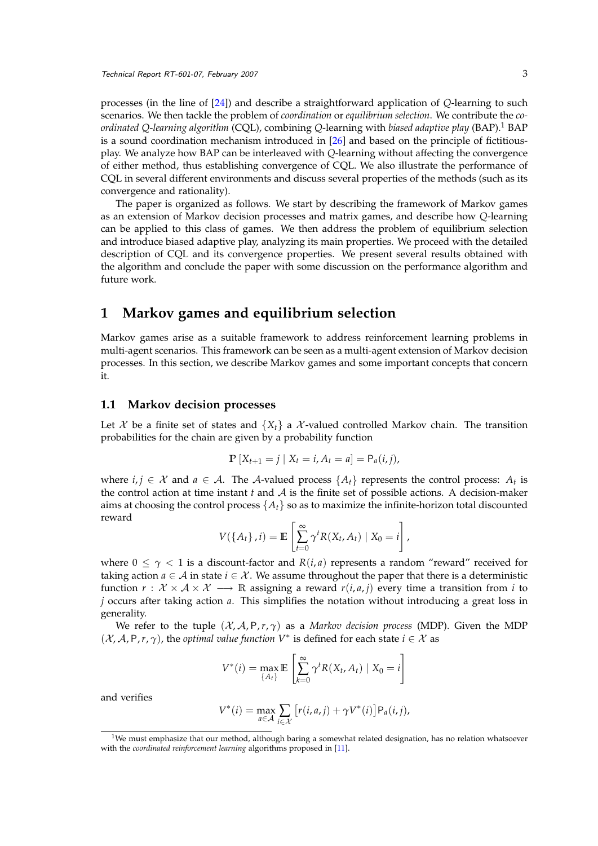processes (in the line of [\[24\]](#page-17-1)) and describe a straightforward application of *Q*-learning to such scenarios. We then tackle the problem of *coordination* or *equilibrium selection*. We contribute the *coordinated Q-learning algorithm* (CQL), combining *Q*-learning with *biased adaptive play* (BAP).[1](#page-2-0) BAP is a sound coordination mechanism introduced in [\[26\]](#page-17-2) and based on the principle of fictitiousplay. We analyze how BAP can be interleaved with *Q*-learning without affecting the convergence of either method, thus establishing convergence of CQL. We also illustrate the performance of CQL in several different environments and discuss several properties of the methods (such as its convergence and rationality).

The paper is organized as follows. We start by describing the framework of Markov games as an extension of Markov decision processes and matrix games, and describe how *Q*-learning can be applied to this class of games. We then address the problem of equilibrium selection and introduce biased adaptive play, analyzing its main properties. We proceed with the detailed description of CQL and its convergence properties. We present several results obtained with the algorithm and conclude the paper with some discussion on the performance algorithm and future work.

# <span id="page-2-1"></span>**1 Markov games and equilibrium selection**

Markov games arise as a suitable framework to address reinforcement learning problems in multi-agent scenarios. This framework can be seen as a multi-agent extension of Markov decision processes. In this section, we describe Markov games and some important concepts that concern it.

#### **1.1 Markov decision processes**

Let X be a finite set of states and  $\{X_t\}$  a X-valued controlled Markov chain. The transition probabilities for the chain are given by a probability function

$$
\mathbb{P}[X_{t+1} = j \mid X_t = i, A_t = a] = \mathsf{P}_a(i, j),
$$

where  $i, j \in \mathcal{X}$  and  $a \in \mathcal{A}$ . The  $\mathcal{A}$ -valued process  $\{A_t\}$  represents the control process:  $A_t$  is the control action at time instant  $t$  and  $\mathcal A$  is the finite set of possible actions. A decision-maker aims at choosing the control process  $\{A_t\}$  so as to maximize the infinite-horizon total discounted reward

$$
V(\lbrace A_t \rbrace, i) = \mathbb{E}\left[\sum_{t=0}^{\infty} \gamma^t R(X_t, A_t) \mid X_0 = i\right],
$$

where  $0 \leq \gamma < 1$  is a discount-factor and  $R(i, a)$  represents a random "reward" received for taking action  $a \in A$  in state  $i \in \mathcal{X}$ . We assume throughout the paper that there is a deterministic function  $r : \mathcal{X} \times \mathcal{A} \times \mathcal{X} \longrightarrow \mathbb{R}$  assigning a reward  $r(i, a, j)$  every time a transition from *i* to *j* occurs after taking action *a*. This simplifies the notation without introducing a great loss in generality.

We refer to the tuple  $(X, A, P, r, \gamma)$  as a *Markov decision process* (MDP). Given the MDP  $(X, A, P, r, \gamma)$ , the *optimal value function*  $V^*$  is defined for each state  $i \in \mathcal{X}$  as

$$
V^*(i) = \max_{\{A_t\}} \mathbb{E}\left[\sum_{k=0}^{\infty} \gamma^t R(X_t, A_t) \mid X_0 = i\right]
$$

and verifies

$$
V^*(i) = \max_{a \in \mathcal{A}} \sum_{i \in \mathcal{X}} \left[ r(i, a, j) + \gamma V^*(i) \right] P_a(i, j),
$$

<span id="page-2-0"></span> $1$ We must emphasize that our method, although baring a somewhat related designation, has no relation whatsoever with the *coordinated reinforcement learning* algorithms proposed in [\[11\]](#page-16-6).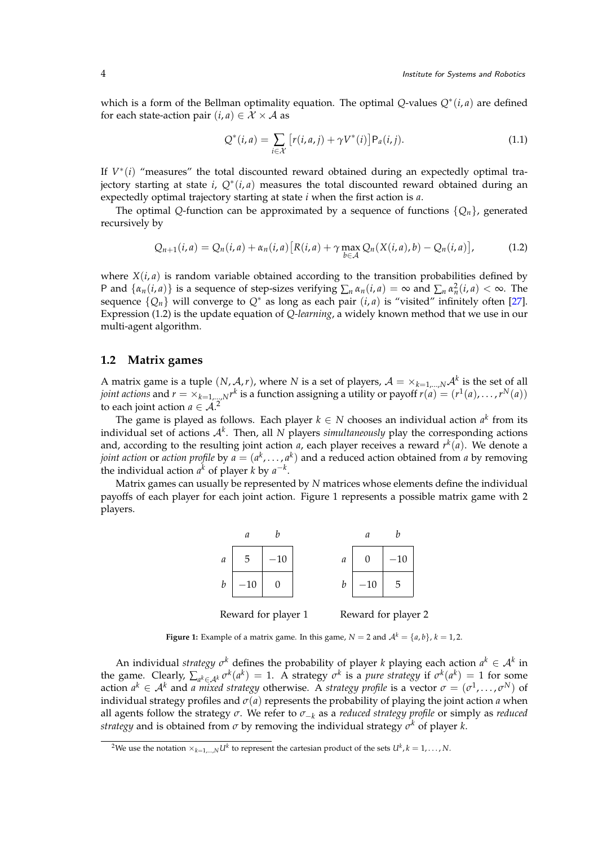which is a form of the Bellman optimality equation. The optimal *Q*-values *Q*<sup>∗</sup> (*i*, *a*) are defined for each state-action pair  $(i, a) \in \mathcal{X} \times \mathcal{A}$  as

$$
Q^*(i, a) = \sum_{i \in \mathcal{X}} [r(i, a, j) + \gamma V^*(i)] P_a(i, j).
$$
 (1.1)

If  $V^*(i)$  "measures" the total discounted reward obtained during an expectedly optimal trajectory starting at state *i*, *Q*<sup>∗</sup> (*i*, *a*) measures the total discounted reward obtained during an expectedly optimal trajectory starting at state *i* when the first action is *a*.

The optimal *Q*-function can be approximated by a sequence of functions  $\{Q_n\}$ , generated recursively by

<span id="page-3-0"></span>
$$
Q_{n+1}(i,a) = Q_n(i,a) + \alpha_n(i,a) \left[ R(i,a) + \gamma \max_{b \in \mathcal{A}} Q_n(X(i,a),b) - Q_n(i,a) \right],
$$
 (1.2)

where  $X(i, a)$  is random variable obtained according to the transition probabilities defined by P and  $\{\alpha_n(i, a)\}\$ is a sequence of step-sizes verifying  $\sum_n \alpha_n(i, a) = \infty$  and  $\sum_n \alpha_n^2(i, a) < \infty$ . The sequence  $\{Q_n\}$  will converge to  $Q^*$  as long as each pair  $(i, a)$  is "visited" infinitely often [\[27\]](#page-17-3). Expression [\(1.2\)](#page-3-0) is the update equation of *Q-learning*, a widely known method that we use in our multi-agent algorithm.

#### **1.2 Matrix games**

A matrix game is a tuple  $(N, \mathcal{A}, r)$ , where  $N$  is a set of players,  $\mathcal{A} = \times_{k=1,...,N} \mathcal{A}^k$  is the set of all *joint actions* and  $r = \times_{k=1,...,N} r^k$  is a function assigning a utility or payoff  $r(a) = (r^1(a), \ldots, r^N(a))$ to each joint action  $a \in A$ .<sup>[2](#page-3-1)</sup>

The game is played as follows. Each player  $k \in N$  chooses an individual action  $a^k$  from its individual set of actions A*<sup>k</sup>* . Then, all *N* players *simultaneously* play the corresponding actions and, according to the resulting joint action *a*, each player receives a reward *r k* (*a*). We denote a *joint action* or *action profile* by  $a = (a^k, \ldots, a^k)$  and a reduced action obtained from *a* by removing the individual action  $a^k$  of player *k* by  $a^{-k}$ .

Matrix games can usually be represented by *N* matrices whose elements define the individual payoffs of each player for each joint action. Figure [1](#page-3-2) represents a possible matrix game with 2 players.



<span id="page-3-2"></span>**Figure 1:** Example of a matrix game. In this game,  $N = 2$  and  $A^k = \{a, b\}$ ,  $k = 1, 2$ .

An individual *strategy*  $\sigma^k$  defines the probability of player *k* playing each action  $a^k \in A^k$  in the game. Clearly,  $\sum_{a^k \in A^k} \sigma^k(a^k) = 1$ . A strategy  $\sigma^k$  is a *pure strategy* if  $\sigma^k(a^k) = 1$  for some action  $a^k \in A^k$  and *a mixed strategy* otherwise. A *strategy profile* is a vector  $\sigma = (\sigma^1, \ldots, \sigma^N)$  of individual strategy profiles and  $\sigma(a)$  represents the probability of playing the joint action *a* when all agents follow the strategy *σ*. We refer to *σ*−*<sup>k</sup>* as a *reduced strategy profile* or simply as *reduced strategy* and is obtained from *σ* by removing the individual strategy *σ <sup>k</sup>* of player *k*.

<span id="page-3-1"></span><sup>&</sup>lt;sup>2</sup>We use the notation  $\times_{k=1,...,N} U^k$  to represent the cartesian product of the sets  $U^k$ ,  $k=1,\ldots,N$ .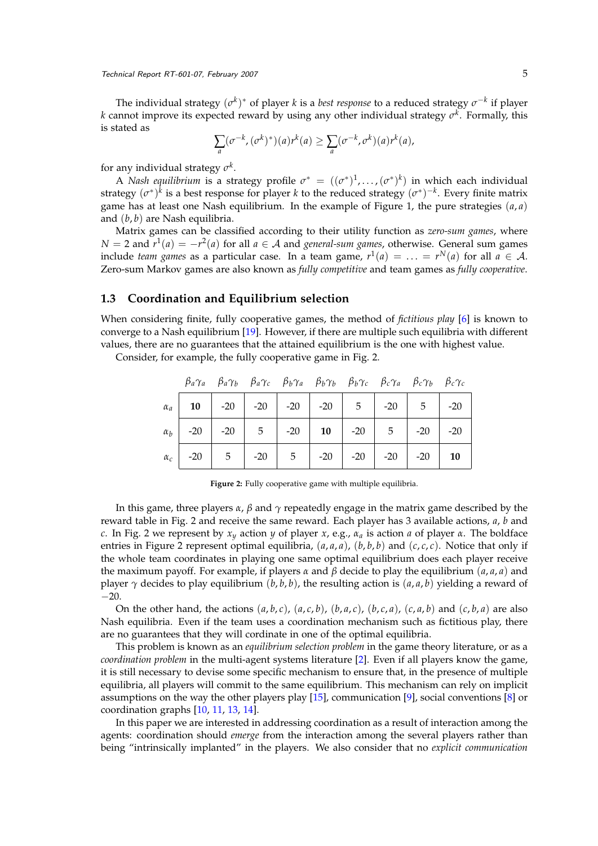The individual strategy  $(\sigma^k)^*$  of player *k* is a *best response* to a reduced strategy  $\sigma^{-k}$  if player *k* cannot improve its expected reward by using any other individual strategy *σ k* . Formally, this is stated as

$$
\sum_a (\sigma^{-k}, (\sigma^k)^*) (a) r^k (a) \geq \sum_a (\sigma^{-k}, \sigma^k) (a) r^k (a),
$$

for any individual strategy *σ k* .

A *Nash equilibrium* is a strategy profile  $\sigma^* = ((\sigma^*)^1, \ldots, (\sigma^*)^k)$  in which each individual strategy  $(\sigma^*)^k$  is a best response for player *k* to the reduced strategy  $(\sigma^*)^{-k}$ . Every finite matrix game has at least one Nash equilibrium. In the example of Figure [1,](#page-3-2) the pure strategies  $(a, a)$ and (*b*, *b*) are Nash equilibria.

Matrix games can be classified according to their utility function as *zero-sum games*, where *N* = 2 and  $r$ <sup>1</sup>(*a*) = −*r*<sup>2</sup>(*a*) for all *a* ∈ *A* and *general-sum games,* otherwise. General sum games include *team games* as a particular case. In a team game,  $r^1(a) = \ldots = r^N(a)$  for all  $a \in \mathcal{A}$ . Zero-sum Markov games are also known as *fully competitive* and team games as *fully cooperative*.

#### **1.3 Coordination and Equilibrium selection**

When considering finite, fully cooperative games, the method of *fictitious play* [\[6\]](#page-16-7) is known to converge to a Nash equilibrium [\[19\]](#page-16-8). However, if there are multiple such equilibria with different values, there are no guarantees that the attained equilibrium is the one with highest value.

Consider, for example, the fully cooperative game in Fig. [2.](#page-4-0)

|  |  | $\beta_a\gamma_a$ $\beta_a\gamma_b$ $\beta_a\gamma_c$ $\beta_b\gamma_a$ $\beta_b\gamma_b$ $\beta_b\gamma_c$ $\beta_c\gamma_a$ $\beta_c\gamma_b$ $\beta_c\gamma_c$ |  |  |  |
|--|--|-------------------------------------------------------------------------------------------------------------------------------------------------------------------|--|--|--|
|  |  | $\alpha_a$   10   -20   -20   -20   -20   5   -20   5   -20                                                                                                       |  |  |  |
|  |  | $\alpha_b$ -20 -20 -20 -5 -20 -20 -20 -20 -20 -20 -20                                                                                                             |  |  |  |
|  |  | $\alpha_c$   -20   5   -20   5   -20   -20   -20   -20   10                                                                                                       |  |  |  |

<span id="page-4-0"></span>

|  |  |  |  | <b>Figure 2:</b> Fully cooperative game with multiple equilibria. |  |  |  |  |
|--|--|--|--|-------------------------------------------------------------------|--|--|--|--|
|--|--|--|--|-------------------------------------------------------------------|--|--|--|--|

In this game, three players  $\alpha$ ,  $\beta$  and  $\gamma$  repeatedly engage in the matrix game described by the reward table in Fig. [2](#page-4-0) and receive the same reward. Each player has 3 available actions, *a*, *b* and *c*. In Fig. [2](#page-4-0) we represent by *x<sup>y</sup>* action *y* of player *x*, e.g., *α<sup>a</sup>* is action *a* of player *α*. The boldface entries in Figure [2](#page-4-0) represent optimal equilibria,  $(a, a, a)$ ,  $(b, b, b)$  and  $(c, c, c)$ . Notice that only if the whole team coordinates in playing one same optimal equilibrium does each player receive the maximum payoff. For example, if players  $\alpha$  and  $\beta$  decide to play the equilibrium ( $a$ ,  $a$ ,  $a$ ) and player  $\gamma$  decides to play equilibrium (*b*, *b*, *b*), the resulting action is (*a*, *a*, *b*) yielding a reward of −20.

On the other hand, the actions  $(a, b, c)$ ,  $(a, c, b)$ ,  $(b, a, c)$ ,  $(b, c, a)$ ,  $(c, a, b)$  and  $(c, b, a)$  are also Nash equilibria. Even if the team uses a coordination mechanism such as fictitious play, there are no guarantees that they will cordinate in one of the optimal equilibria.

This problem is known as an *equilibrium selection problem* in the game theory literature, or as a *coordination problem* in the multi-agent systems literature [\[2\]](#page-15-3). Even if all players know the game, it is still necessary to devise some specific mechanism to ensure that, in the presence of multiple equilibria, all players will commit to the same equilibrium. This mechanism can rely on implicit assumptions on the way the other players play [\[15\]](#page-16-9), communication [\[9\]](#page-16-10), social conventions [\[8\]](#page-16-11) or coordination graphs [\[10,](#page-16-12) [11,](#page-16-6) [13,](#page-16-13) [14\]](#page-16-14).

In this paper we are interested in addressing coordination as a result of interaction among the agents: coordination should *emerge* from the interaction among the several players rather than being "intrinsically implanted" in the players. We also consider that no *explicit communication*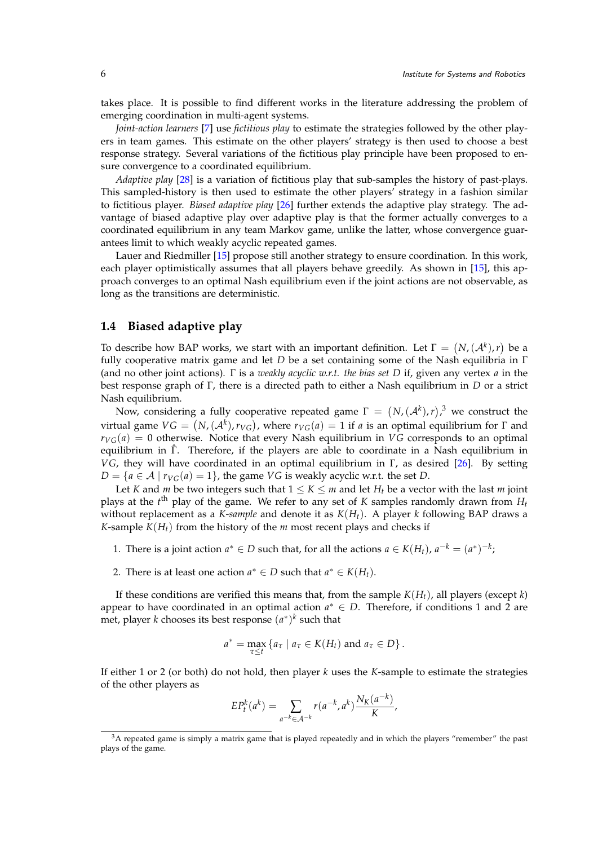takes place. It is possible to find different works in the literature addressing the problem of emerging coordination in multi-agent systems.

*Joint-action learners* [\[7\]](#page-16-3) use *fictitious play* to estimate the strategies followed by the other players in team games. This estimate on the other players' strategy is then used to choose a best response strategy. Several variations of the fictitious play principle have been proposed to ensure convergence to a coordinated equilibrium.

*Adaptive play* [\[28\]](#page-17-4) is a variation of fictitious play that sub-samples the history of past-plays. This sampled-history is then used to estimate the other players' strategy in a fashion similar to fictitious player. *Biased adaptive play* [\[26\]](#page-17-2) further extends the adaptive play strategy. The advantage of biased adaptive play over adaptive play is that the former actually converges to a coordinated equilibrium in any team Markov game, unlike the latter, whose convergence guarantees limit to which weakly acyclic repeated games.

Lauer and Riedmiller [\[15\]](#page-16-9) propose still another strategy to ensure coordination. In this work, each player optimistically assumes that all players behave greedily. As shown in [\[15\]](#page-16-9), this approach converges to an optimal Nash equilibrium even if the joint actions are not observable, as long as the transitions are deterministic.

#### **1.4 Biased adaptive play**

To describe how BAP works, we start with an important definition. Let  $\Gamma = (N, (\mathcal{A}^k), r)$  be a fully cooperative matrix game and let *D* be a set containing some of the Nash equilibria in Γ (and no other joint actions). Γ is a *weakly acyclic w.r.t. the bias set D* if, given any vertex *a* in the best response graph of Γ, there is a directed path to either a Nash equilibrium in *D* or a strict Nash equilibrium.

Now, considering a fully cooperative repeated game  $\Gamma = (N, (A^k), r),^3$  $\Gamma = (N, (A^k), r),^3$  we construct the  $V$  virtual game  $VG = (N, (A^k), r_{VG})$ , where  $r_{VG}(a) = 1$  if *a* is an optimal equilibrium for Γ and  $r_{VG}(a) = 0$  otherwise. Notice that every Nash equilibrium in *VG* corresponds to an optimal equilibrium in Γˆ. Therefore, if the players are able to coordinate in a Nash equilibrium in *VG*, they will have coordinated in an optimal equilibrium in Γ, as desired [\[26\]](#page-17-2). By setting  $D = \{a \in \mathcal{A} \mid r_{VG}(a) = 1\}$ , the game *VG* is weakly acyclic w.r.t. the set *D*.

Let *K* and *m* be two integers such that  $1 \leq K \leq m$  and let  $H_t$  be a vector with the last *m* joint plays at the *t*<sup>th</sup> play of the game. We refer to any set of *K* samples randomly drawn from  $H_t$ without replacement as a *K-sample* and denote it as  $K(H_t)$ . A player *k* following BAP draws a *K*-sample  $K(H_t)$  from the history of the *m* most recent plays and checks if

- <span id="page-5-1"></span>1. There is a joint action  $a^* \in D$  such that, for all the actions  $a \in K(H_t)$ ,  $a^{-k} = (a^*)^{-k}$ ;
- <span id="page-5-2"></span>2. There is at least one action  $a^* \in D$  such that  $a^* \in K(H_t)$ .

If these conditions are verified this means that, from the sample  $K(H_t)$ , all players (except *k*) appear to have coordinated in an optimal action  $a^* \in D$ . Therefore, if conditions [1](#page-5-1) and [2](#page-5-2) are met, player *k* chooses its best response  $(a^*)^k$  such that

$$
a^* = \max_{\tau \leq t} \left\{ a_{\tau} \mid a_{\tau} \in K(H_t) \text{ and } a_{\tau} \in D \right\}.
$$

If either [1](#page-5-1) or [2](#page-5-2) (or both) do not hold, then player *k* uses the *K*-sample to estimate the strategies of the other players as

$$
EP_t^k(a^k) = \sum_{a^{-k} \in \mathcal{A}^{-k}} r(a^{-k}, a^k) \frac{N_K(a^{-k})}{K},
$$

<span id="page-5-0"></span><sup>&</sup>lt;sup>3</sup>A repeated game is simply a matrix game that is played repeatedly and in which the players "remember" the past plays of the game.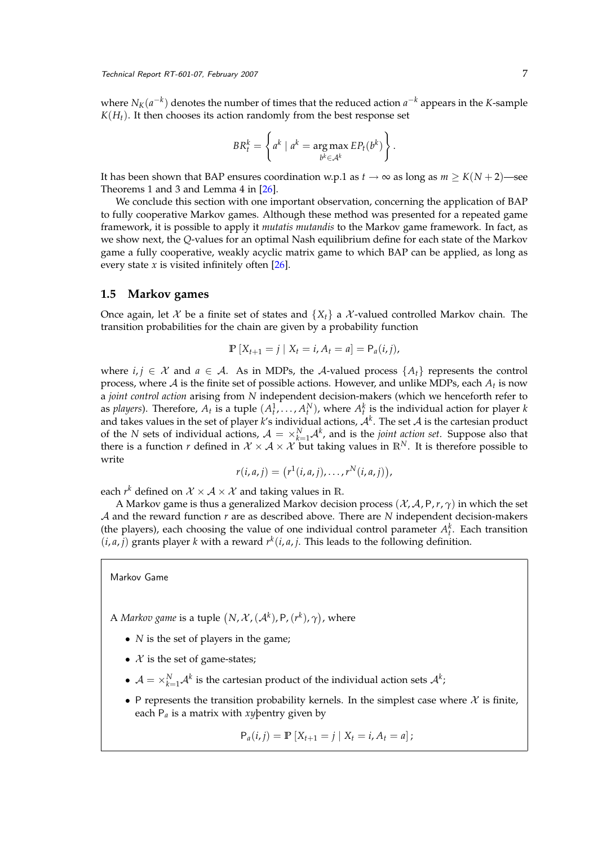where  $N_K(a^{-k})$  denotes the number of times that the reduced action  $a^{-k}$  appears in the *K*-sample  $K(H_t)$ . It then chooses its action randomly from the best response set

$$
BR_t^k = \left\{ a^k \mid a^k = \underset{b^k \in \mathcal{A}^k}{\arg \max} EP_t(b^k) \right\}.
$$

It has been shown that BAP ensures coordination w.p.1 as  $t \to \infty$  as long as  $m \geq K(N+2)$ —see Theorems 1 and 3 and Lemma 4 in [\[26\]](#page-17-2).

We conclude this section with one important observation, concerning the application of BAP to fully cooperative Markov games. Although these method was presented for a repeated game framework, it is possible to apply it *mutatis mutandis* to the Markov game framework. In fact, as we show next, the *Q*-values for an optimal Nash equilibrium define for each state of the Markov game a fully cooperative, weakly acyclic matrix game to which BAP can be applied, as long as every state *x* is visited infinitely often [\[26\]](#page-17-2).

#### **1.5 Markov games**

Once again, let X be a finite set of states and  $\{X_t\}$  a X-valued controlled Markov chain. The transition probabilities for the chain are given by a probability function

$$
\mathbb{P}[X_{t+1} = j \mid X_t = i, A_t = a] = P_a(i, j),
$$

where  $i, j \in \mathcal{X}$  and  $a \in \mathcal{A}$ . As in MDPs, the A-valued process  $\{A_t\}$  represents the control process, where  $\mathcal A$  is the finite set of possible actions. However, and unlike MDPs, each  $A_t$  is now a *joint control action* arising from *N* independent decision-makers (which we henceforth refer to as *players*). Therefore,  $A_t$  is a tuple  $(A_t^1, \ldots, A_t^N)$ , where  $A_t^k$  is the individual action for player *k* and takes values in the set of player *k'*s individual actions,  $\mathcal{A}^k$ . The set  $\mathcal A$  is the cartesian product of the *N* sets of individual actions,  $A = \times_{k=1}^{N} A^k$ , and is the *joint action set*. Suppose also that there is a function *r* defined in  $X \times A \times \mathcal{X}$  but taking values in  $\mathbb{R}^N$ . It is therefore possible to write

$$
r(i,a,j) = (r1(i,a,j), \ldots, rN(i,a,j)),
$$

each  $r^k$  defined on  $\mathcal{X} \times \mathcal{A} \times \mathcal{X}$  and taking values in R.

A Markov game is thus a generalized Markov decision process (X, A, P,*r*, *γ*) in which the set A and the reward function *r* are as described above. There are *N* independent decision-makers (the players), each choosing the value of one individual control parameter  $A_t^k$ . Each transition  $(i, a, j)$  grants player *k* with a reward  $r^k(i, a, j)$ . This leads to the following definition.

Markov Game

A *Markov game* is a tuple  $\left(N,\mathcal{X},(\mathcal{A}^k),\mathsf{P},(r^k),\gamma\right)$ , where

- *N* is the set of players in the game;
- $X$  is the set of game-states;
- $\mathcal{A} = \times_{k=1}^N \mathcal{A}^k$  is the cartesian product of the individual action sets  $\mathcal{A}^k$ ;
- P represents the transition probability kernels. In the simplest case where  $\mathcal X$  is finite, each P*<sup>a</sup>* is a matrix with *xy*þentry given by

$$
P_a(i,j) = P [X_{t+1} = j | X_t = i, A_t = a];
$$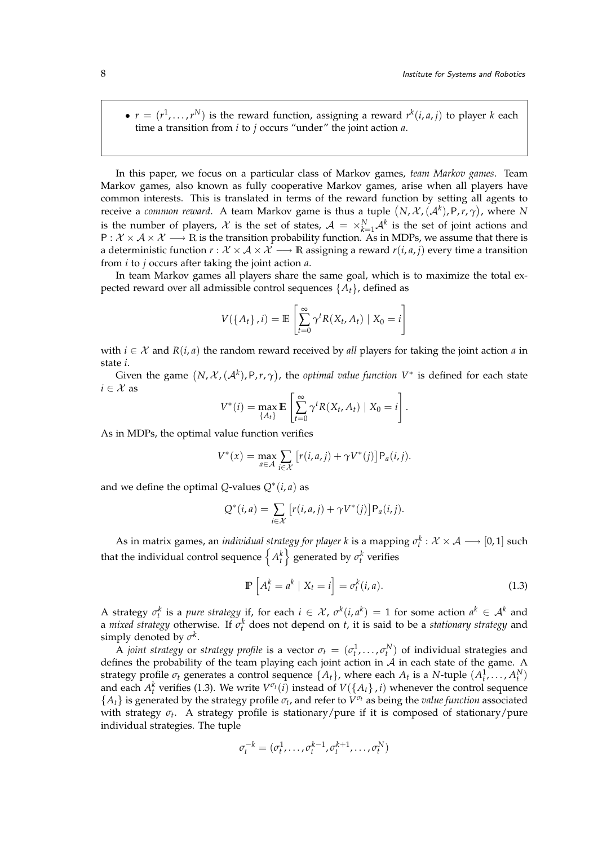•  $r = (r^1, \ldots, r^N)$  is the reward function, assigning a reward  $r^k(i, a, j)$  to player *k* each time a transition from *i* to *j* occurs "under" the joint action *a*.

In this paper, we focus on a particular class of Markov games, *team Markov games*. Team Markov games, also known as fully cooperative Markov games, arise when all players have common interests. This is translated in terms of the reward function by setting all agents to receive a *common reward*. A team Markov game is thus a tuple  $(N, \mathcal{X}, (\mathcal{A}^k), \mathsf{P}, r, \gamma)$ , where  $N$ is the number of players,  $\mathcal{X}$  is the set of states,  $\mathcal{A} = \times_{k=1}^{N} \mathcal{A}^k$  is the set of joint actions and  $P: \mathcal{X} \times \mathcal{A} \times \mathcal{X} \longrightarrow \mathbb{R}$  is the transition probability function. As in MDPs, we assume that there is a deterministic function  $r : \mathcal{X} \times \mathcal{A} \times \mathcal{X} \longrightarrow \mathbb{R}$  assigning a reward  $r(i, a, j)$  every time a transition from *i* to *j* occurs after taking the joint action *a*.

In team Markov games all players share the same goal, which is to maximize the total expected reward over all admissible control sequences {*At*}, defined as

$$
V(\lbrace A_t \rbrace, i) = \mathbb{E}\left[\sum_{t=0}^{\infty} \gamma^t R(X_t, A_t) \mid X_0 = i\right]
$$

with  $i \in \mathcal{X}$  and  $R(i, a)$  the random reward received by *all* players for taking the joint action *a* in state *i*.

Given the game  $(N, \mathcal{X}, (\mathcal{A}^k), P, r, \gamma)$ , the *optimal value function*  $V^*$  is defined for each state  $i \in \mathcal{X}$  as

$$
V^*(i) = \max_{\{A_t\}} \mathbb{E}\left[\sum_{t=0}^{\infty} \gamma^t R(X_t, A_t) \mid X_0 = i\right].
$$

As in MDPs, the optimal value function verifies

$$
V^*(x) = \max_{a \in \mathcal{A}} \sum_{i \in \mathcal{X}} \left[ r(i, a, j) + \gamma V^*(j) \right] \mathsf{P}_a(i, j).
$$

and we define the optimal  $Q$ -values  $Q^*(i, a)$  as

$$
Q^*(i,a) = \sum_{i \in \mathcal{X}} \left[ r(i,a,j) + \gamma V^*(j) \right] \mathsf{P}_a(i,j).
$$

As in matrix games, an *individual strategy for player k* is a mapping  $\sigma_t^k: \mathcal{X} \times \mathcal{A} \longrightarrow [0,1]$  such that the individual control sequence  $\left\{ A_t^k \right\}$  generated by  $\sigma_t^k$  verifies

<span id="page-7-0"></span>
$$
\mathbb{P}\left[A_t^k = a^k \mid X_t = i\right] = \sigma_t^k(i, a). \tag{1.3}
$$

A strategy  $\sigma_t^k$  is a *pure strategy* if, for each  $i \in \mathcal{X}$ ,  $\sigma^k(i, a^k) = 1$  for some action  $a^k \in \mathcal{A}^k$  and a *mixed strategy* otherwise. If *σ k <sup>t</sup>* does not depend on *t*, it is said to be a *stationary strategy* and simply denoted by  $\sigma^k$ .

A *joint strategy* or *strategy profile* is a vector  $\sigma_t = (\sigma_t^1, \dots, \sigma_t^N)$  of individual strategies and defines the probability of the team playing each joint action in  $A$  in each state of the game. A strategy profile  $\sigma_t$  generates a control sequence  $\{A_t\}$ , where each  $A_t$  is a *N*-tuple  $(A_t^1, \ldots, A_t^N)$ and each  $A_t^k$  verifies [\(1.3\)](#page-7-0). We write  $V^{\sigma_t}(i)$  instead of  $V(\lbrace A_t \rbrace, i)$  whenever the control sequence  ${A_t}$  is generated by the strategy profile  $\sigma_t$ , and refer to  $V^{\sigma_t}$  as being the *value function* associated with strategy *σt* . A strategy profile is stationary/pure if it is composed of stationary/pure individual strategies. The tuple

$$
\sigma_t^{-k} = (\sigma_t^1, \dots, \sigma_t^{k-1}, \sigma_t^{k+1}, \dots, \sigma_t^N)
$$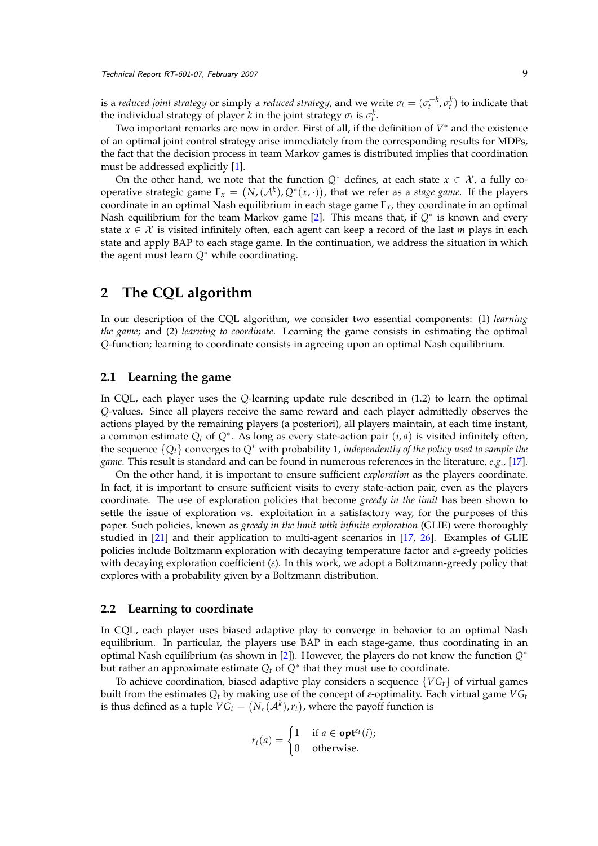is a *reduced joint strategy* or simply a *reduced strategy,* and we write  $\sigma_t = (\sigma_t^{-k}, \sigma_t^k)$  to indicate that the individual strategy of player *k* in the joint strategy  $\sigma_t$  is  $\sigma_t^k$ .

Two important remarks are now in order. First of all, if the definition of  $V^*$  and the existence of an optimal joint control strategy arise immediately from the corresponding results for MDPs, the fact that the decision process in team Markov games is distributed implies that coordination must be addressed explicitly [\[1\]](#page-15-4).

On the other hand, we note that the function  $Q^*$  defines, at each state  $x \in \mathcal{X}$ , a fully cooperative strategic game  $\Gamma_x = (N, (\mathcal{A}^k), Q^*(x, \cdot))$ , that we refer as a *stage game*. If the players coordinate in an optimal Nash equilibrium in each stage game Γ*x*, they coordinate in an optimal Nash equilibrium for the team Markov game [\[2\]](#page-15-3). This means that, if *Q*<sup>∗</sup> is known and every state  $x \in \mathcal{X}$  is visited infinitely often, each agent can keep a record of the last *m* plays in each state and apply BAP to each stage game. In the continuation, we address the situation in which the agent must learn *Q*<sup>∗</sup> while coordinating.

## **2 The CQL algorithm**

In our description of the CQL algorithm, we consider two essential components: (1) *learning the game*; and (2) *learning to coordinate*. Learning the game consists in estimating the optimal *Q*-function; learning to coordinate consists in agreeing upon an optimal Nash equilibrium.

#### **2.1 Learning the game**

In CQL, each player uses the *Q*-learning update rule described in [\(1.2\)](#page-3-0) to learn the optimal *Q*-values. Since all players receive the same reward and each player admittedly observes the actions played by the remaining players (a posteriori), all players maintain, at each time instant, a common estimate  $Q_t$  of  $Q^*$ . As long as every state-action pair  $(i, a)$  is visited infinitely often, the sequence {*Qt*} converges to *Q*<sup>∗</sup> with probability 1, *independently of the policy used to sample the game*. This result is standard and can be found in numerous references in the literature, *e.g.*, [\[17\]](#page-16-15).

On the other hand, it is important to ensure sufficient *exploration* as the players coordinate. In fact, it is important to ensure sufficient visits to every state-action pair, even as the players coordinate. The use of exploration policies that become *greedy in the limit* has been shown to settle the issue of exploration vs. exploitation in a satisfactory way, for the purposes of this paper. Such policies, known as *greedy in the limit with infinite exploration* (GLIE) were thoroughly studied in [\[21\]](#page-16-16) and their application to multi-agent scenarios in [\[17,](#page-16-15) [26\]](#page-17-2). Examples of GLIE policies include Boltzmann exploration with decaying temperature factor and *ε*-greedy policies with decaying exploration coefficient (*ε*). In this work, we adopt a Boltzmann-greedy policy that explores with a probability given by a Boltzmann distribution.

#### **2.2 Learning to coordinate**

In CQL, each player uses biased adaptive play to converge in behavior to an optimal Nash equilibrium. In particular, the players use BAP in each stage-game, thus coordinating in an optimal Nash equilibrium (as shown in [\[2\]](#page-15-3)). However, the players do not know the function *Q*<sup>∗</sup> but rather an approximate estimate  $Q_t$  of  $Q^*$  that they must use to coordinate.

To achieve coordination, biased adaptive play considers a sequence  $\{VG_t\}$  of virtual games built from the estimates *Q<sup>t</sup>* by making use of the concept of *ε*-optimality. Each virtual game *VG<sup>t</sup>* is thus defined as a tuple  $VG_t = (N,(\mathcal{A}^k),r_t)$ , where the payoff function is

$$
r_t(a) = \begin{cases} 1 & \text{if } a \in \textbf{opt}^{\varepsilon_t}(i); \\ 0 & \text{otherwise.} \end{cases}
$$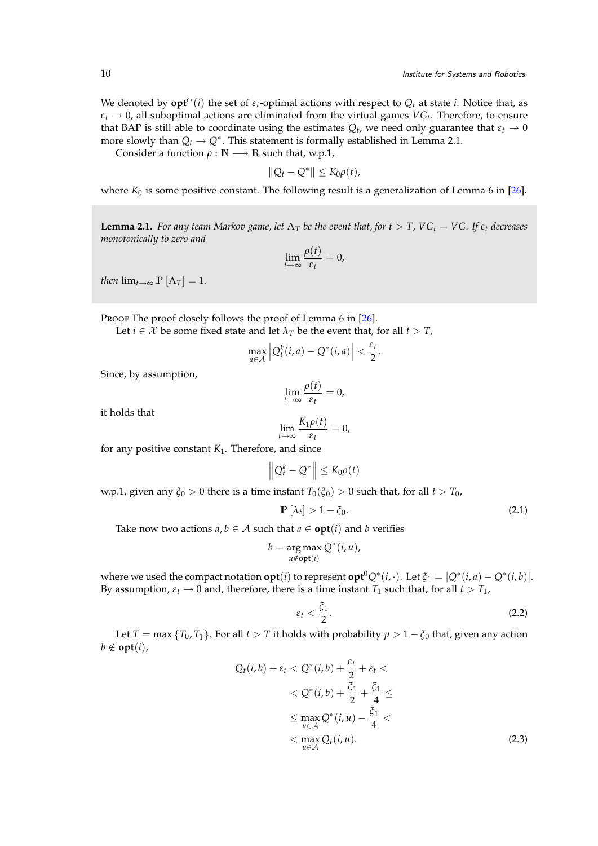We denoted by  $\mathbf{opt}^{\varepsilon_t}(i)$  the set of  $\varepsilon_t$ -optimal actions with respect to  $Q_t$  at state *i*. Notice that, as  $\varepsilon_t \to 0$ , all suboptimal actions are eliminated from the virtual games  $VG_t$ . Therefore, to ensure that BAP is still able to coordinate using the estimates  $Q_t$ , we need only guarantee that  $\varepsilon_t \to 0$ more slowly than  $Q_t \to Q^*$ . This statement is formally established in Lemma [2.1.](#page-9-0)

Consider a function  $\rho : \mathbb{N} \longrightarrow \mathbb{R}$  such that, w.p.1,

$$
||Q_t-Q^*||\leq K_0\rho(t),
$$

where  $K_0$  is some positive constant. The following result is a generalization of Lemma 6 in  $[26]$ .

<span id="page-9-0"></span>**Lemma 2.1.** *For any team Markov game, let*  $\Lambda_T$  *be the event that, for*  $t > T$ ,  $VG_t = VG$ . If  $\varepsilon_t$  *decreases monotonically to zero and*

$$
\lim_{t\to\infty}\frac{\rho(t)}{\varepsilon_t}=0,
$$

*then*  $\lim_{t\to\infty}$   $\mathbb{P}[\Lambda_T] = 1$ *.* 

Proof The proof closely follows the proof of Lemma 6 in [\[26\]](#page-17-2).

Let *i*  $\in \mathcal{X}$  be some fixed state and let  $\lambda_T$  be the event that, for all *t* > *T*,

$$
\max_{a\in\mathcal{A}}\left|Q_t^k(i,a)-Q^*(i,a)\right|<\frac{\varepsilon_t}{2}.
$$

Since, by assumption,

$$
\lim_{t\to\infty}\frac{\rho(t)}{\varepsilon_t}=0,
$$

it holds that

$$
\lim_{t\to\infty}\frac{K_1\rho(t)}{\varepsilon_t}=0,
$$

for any positive constant  $K_1$ . Therefore, and since

$$
\left\|Q_t^k - Q^*\right\| \leq K_0 \rho(t)
$$

w.p.1, given any  $\xi_0 > 0$  there is a time instant  $T_0(\xi_0) > 0$  such that, for all  $t > T_0$ ,

<span id="page-9-1"></span>
$$
\mathbb{P}\left[\lambda_t\right] > 1 - \xi_0. \tag{2.1}
$$

Take now two actions  $a, b \in A$  such that  $a \in \text{opt}(i)$  and  $b$  verifies

$$
b = \underset{u \notin \text{opt}(i)}{\arg \max} Q^*(i, u),
$$

where we used the compact notation  $\textbf{opt}(i)$  to represent  $\textbf{opt}^0Q^*(i,\cdot)$ . Let  $\xi_1 = |Q^*(i,a) - Q^*(i,b)|$ . By assumption,  $\varepsilon_t \to 0$  and, therefore, there is a time instant  $T_1$  such that, for all  $t > T_1$ ,

<span id="page-9-3"></span><span id="page-9-2"></span>
$$
\varepsilon_t < \frac{\zeta_1}{2}.\tag{2.2}
$$

Let *T* = max {*T*<sub>0</sub>, *T*<sub>1</sub>}. For all *t* > *T* it holds with probability  $p > 1 - \xi_0$  that, given any action  $b \notin \textbf{opt}(i)$ ,

$$
Q_t(i,b) + \varepsilon_t < Q^*(i,b) + \frac{\varepsilon_t}{2} + \varepsilon_t < \\
&< Q^*(i,b) + \frac{\xi_1}{2} + \frac{\xi_1}{4} \le \\
&\le \max_{u \in \mathcal{A}} Q^*(i,u) - \frac{\xi_1}{4} < \\
&< \max_{u \in \mathcal{A}} Q_t(i,u).
$$
\n
$$
(2.3)
$$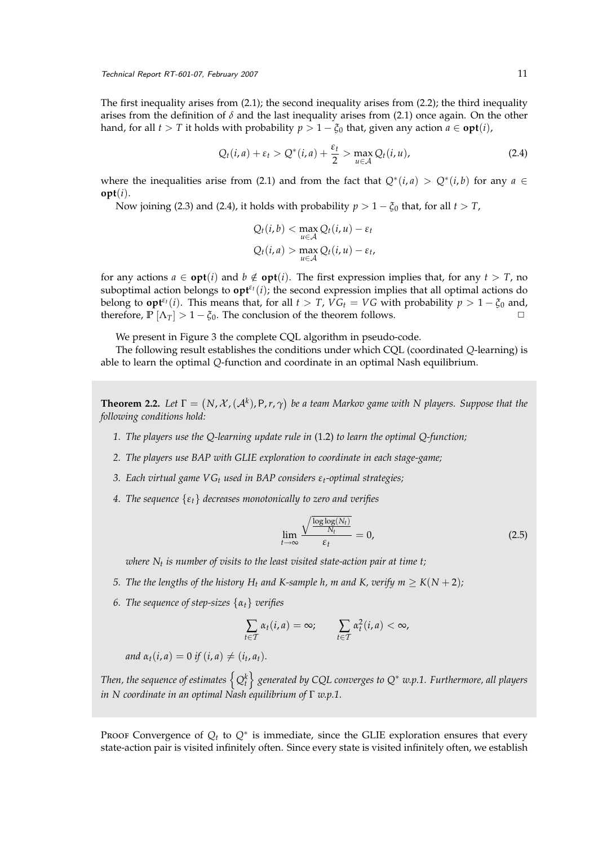The first inequality arises from [\(2.1\)](#page-9-1); the second inequality arises from [\(2.2\)](#page-9-2); the third inequality arises from the definition of  $\delta$  and the last inequality arises from [\(2.1\)](#page-9-1) once again. On the other hand, for all  $t > T$  it holds with probability  $p > 1 - \xi_0$  that, given any action  $a \in \text{opt}(i)$ ,

<span id="page-10-0"></span>
$$
Q_t(i,a) + \varepsilon_t > Q^*(i,a) + \frac{\varepsilon_t}{2} > \max_{u \in \mathcal{A}} Q_t(i,u),
$$
\n(2.4)

where the inequalities arise from [\(2.1\)](#page-9-1) and from the fact that  $Q^*(i, a) > Q^*(i, b)$  for any  $a \in$ **opt**(*i*).

Now joining [\(2.3\)](#page-9-3) and [\(2.4\)](#page-10-0), it holds with probability  $p > 1 - \xi_0$  that, for all  $t > T$ ,

$$
Q_t(i,b) < \max_{u \in \mathcal{A}} Q_t(i,u) - \varepsilon_t
$$
\n
$$
Q_t(i,a) > \max_{u \in \mathcal{A}} Q_t(i,u) - \varepsilon_t
$$

for any actions  $a \in \text{opt}(i)$  and  $b \notin \text{opt}(i)$ . The first expression implies that, for any  $t > T$ , no suboptimal action belongs to  $\mathbf{opt}^{\varepsilon_t}(i)$ ; the second expression implies that all optimal actions do belong to **opt**<sup> $\epsilon$ </sup><sup>*t*</sup>(*i*). This means that, for all *t* > *T*, *VG*<sub>*t*</sub> = *VG* with probability  $p > 1 - \xi_0$  and, therefore,  $\mathbb{P}[\Lambda_T] > 1 - \xi_0$ . The conclusion of the theorem follows.

We present in Figure [3](#page-11-0) the complete CQL algorithm in pseudo-code.

The following result establishes the conditions under which CQL (coordinated *Q*-learning) is able to learn the optimal *Q*-function and coordinate in an optimal Nash equilibrium.

<span id="page-10-1"></span>**Theorem 2.2.** Let  $\Gamma = (N, \mathcal{X}, (\mathcal{A}^k), P, r, \gamma)$  be a team Markov game with N players. Suppose that the *following conditions hold:*

- *1. The players use the Q-learning update rule in* [\(1.2\)](#page-3-0) *to learn the optimal Q-function;*
- *2. The players use BAP with GLIE exploration to coordinate in each stage-game;*
- *3. Each virtual game VG<sup>t</sup> used in BAP considers εt-optimal strategies;*
- *4. The sequence* {*εt*} *decreases monotonically to zero and verifies*

$$
\lim_{t \to \infty} \frac{\sqrt{\frac{\log \log(N_t)}{N_t}}}{\varepsilon_t} = 0,
$$
\n(2.5)

*where N<sup>t</sup> is number of visits to the least visited state-action pair at time t;*

- *5. The the lengths of the history*  $H_t$  *and K*-sample *h*, *m and K*, *verify*  $m \ge K(N + 2)$ *;*
- *6. The sequence of step-sizes* {*αt*} *verifies*

$$
\sum_{t \in \mathcal{T}} \alpha_t(i, a) = \infty; \qquad \sum_{t \in \mathcal{T}} \alpha_t^2(i, a) < \infty,
$$

 $and \alpha_t(i, a) = 0 \text{ if } (i, a) \neq (i_t, a_t).$ 

Then, the sequence of estimates  $\left\{Q_t^k\right\}$  generated by CQL converges to  $Q^*$  w.p.1. Furthermore, all players *in N coordinate in an optimal Nash equilibrium of* Γ *w.p.1.*

Proof Convergence of  $Q_t$  to  $Q^*$  is immediate, since the GLIE exploration ensures that every state-action pair is visited infinitely often. Since every state is visited infinitely often, we establish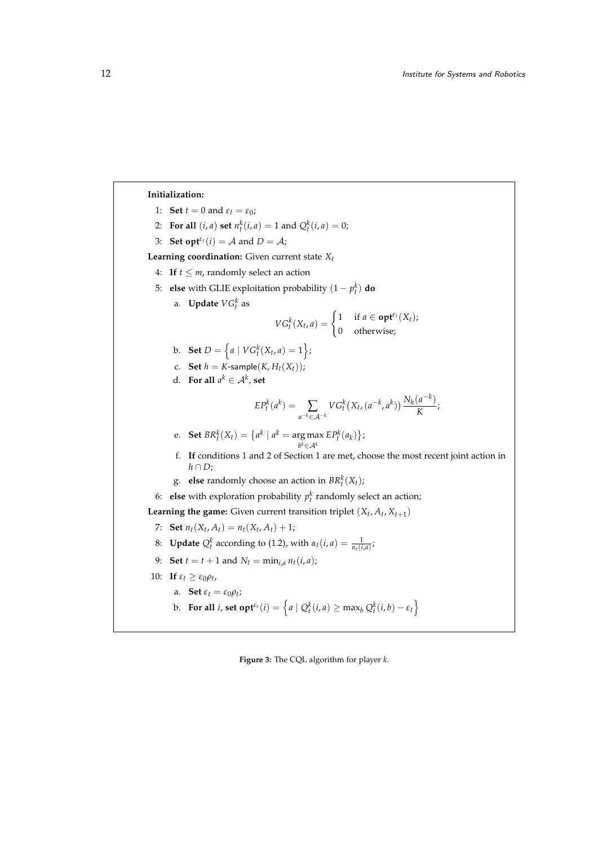**Initialization:** 1: **Set**  $t = 0$  and  $\varepsilon_t = \varepsilon_0$ ; 2: **For all**  $(i, a)$  **set**  $n_t^k(i, a) = 1$  and  $Q_t^k(i, a) = 0$ ; 3: **Set opt**<sup> $\varepsilon$ </sup><sup>*t*</sup>(*i*) = *A* and *D* = *A*; **Learning coordination:** Given current state *Xt* 4: **If**  $t \leq m$ , randomly select an action 5: **else** with GLIE exploitation probability  $(1 - p_t^k)$  **do** a. **Update**  $VG_t^k$  as  $VG_t^k(X_t, a) = \begin{cases} 1 & \text{if } a \in \textbf{opt}^{\varepsilon_t}(X_t); \\ 0 & \text{otherwise.} \end{cases}$ 0 otherwise; b. **Set**  $D = \left\{ a \mid V G_t^k(X_t, a) = 1 \right\};$ c. **Set**  $h = K$ -sample $(K, H_t(X_t))$ ; d. **For all**  $a^k \in \mathcal{A}^k$ , set  $EP_t^k(a^k) = \sum_{a^{-k} \in A^{-k}}$  $V G_t^k(X_t, (a^{-k}, a^k)) \frac{N_h(a^{-k})}{K}$  $\frac{K}{K}$ e. **Set**  $BR_t^k(X_t) = \{ a^k \mid a^k = \arg \max EP_t^k(a_k) \};$ *b <sup>k</sup>*∈A*<sup>k</sup>* f. **If** conditions [1](#page-5-1) and [2](#page-5-2) of Section [1](#page-2-1) are met, choose the most recent joint action in *h* ∩ *D*; g. **else** randomly choose an action in  $BR_t^k(X_t)$ ; 6: **else** with exploration probability  $p_t^k$  randomly select an action; **Learning the game:** Given current transition triplet  $(X_t, A_t, X_{t+1})$ 7: **Set**  $n_t(X_t, A_t) = n_t(X_t, A_t) + 1;$ 8: **Update**  $Q_t^k$  according to [\(1.2\)](#page-3-0), with  $\alpha_t(i, a) = \frac{1}{n_t(i, a)}$ ; 9: **Set**  $t = t + 1$  and  $N_t = \min_{i,a} n_t(i,a)$ ; 10: **If**  $\varepsilon_t \geq \varepsilon_0 \rho_t$ , a. **Set**  $\varepsilon_t = \varepsilon_0 \rho_t$ ; b. **For all** *i*, set  $\text{opt}^{\varepsilon_t}(i) = \left\{ a \mid Q_t^k(i, a) \ge \max_b Q_t^k(i, b) - \varepsilon_t \right\}$ 

<span id="page-11-0"></span>**Figure 3:** The CQL algorithm for player *k*.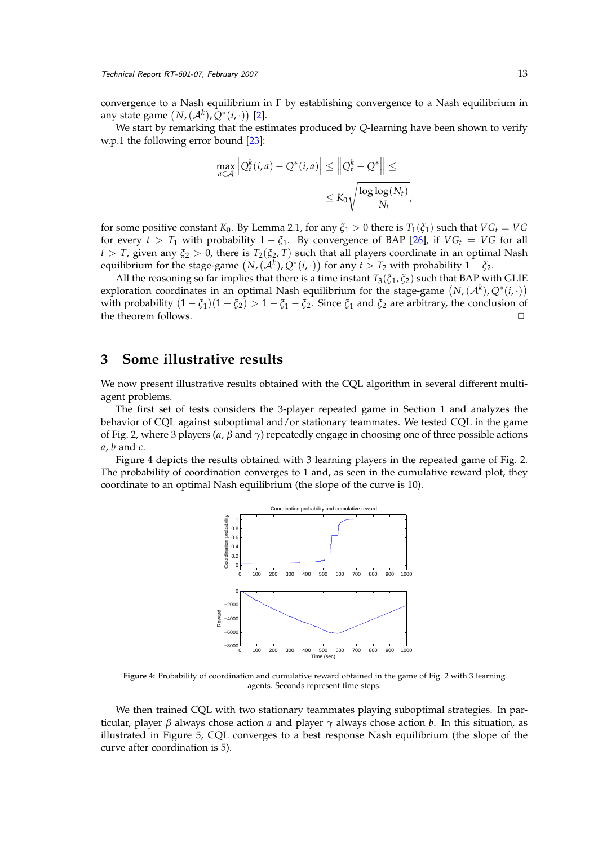convergence to a Nash equilibrium in Γ by establishing convergence to a Nash equilibrium in any state game  $(N,(\mathcal{A}^k), Q^*(i, \cdot))$  [\[2\]](#page-15-3).

We start by remarking that the estimates produced by *Q*-learning have been shown to verify w.p.1 the following error bound [\[23\]](#page-17-5):

$$
\max_{a \in \mathcal{A}} \left| Q_t^k(i, a) - Q^*(i, a) \right| \leq \left\| Q_t^k - Q^* \right\| \leq
$$
  

$$
\leq K_0 \sqrt{\frac{\log \log (N_t)}{N_t}}
$$

,

for some positive constant *K*<sub>0</sub>. By Lemma [2.1,](#page-9-0) for any  $\xi_1 > 0$  there is  $T_1(\xi_1)$  such that  $VG_t = VG$ for every  $t > T_1$  with probability  $1 - \xi_1$ . By convergence of BAP [\[26\]](#page-17-2), if  $VG_t = VG$  for all *t* > *T*, given any  $\xi_2$  > 0, there is  $T_2(\xi_2, T)$  such that all players coordinate in an optimal Nash equilibrium for the stage-game  $(N,(\mathcal{A}^k), Q^*(i, \cdot))$  for any  $t>T_2$  with probability  $1-\xi_2$ .

All the reasoning so far implies that there is a time instant  $T_3(\xi_1, \xi_2)$  such that BAP with GLIE exploration coordinates in an optimal Nash equilibrium for the stage-game  $(N, (\mathcal{A}^k), Q^*(i, \cdot))$ with probability  $(1 - \xi_1)(1 - \xi_2) > 1 - \xi_1 - \xi_2$ . Since  $\xi_1$  and  $\xi_2$  are arbitrary, the conclusion of the theorem follows.

# **3 Some illustrative results**

We now present illustrative results obtained with the CQL algorithm in several different multiagent problems.

The first set of tests considers the 3-player repeated game in Section [1](#page-2-1) and analyzes the behavior of CQL against suboptimal and/or stationary teammates. We tested CQL in the game of Fig. [2,](#page-4-0) where 3 players (*α*, *β* and *γ*) repeatedly engage in choosing one of three possible actions *a*, *b* and *c*.

Figure [4](#page-12-0) depicts the results obtained with 3 learning players in the repeated game of Fig. [2.](#page-4-0) The probability of coordination converges to 1 and, as seen in the cumulative reward plot, they coordinate to an optimal Nash equilibrium (the slope of the curve is 10).



<span id="page-12-0"></span>**Figure 4:** Probability of coordination and cumulative reward obtained in the game of Fig. [2](#page-4-0) with 3 learning agents. Seconds represent time-steps.

We then trained CQL with two stationary teammates playing suboptimal strategies. In particular, player *β* always chose action *a* and player *γ* always chose action *b*. In this situation, as illustrated in Figure [5,](#page-13-0) CQL converges to a best response Nash equilibrium (the slope of the curve after coordination is 5).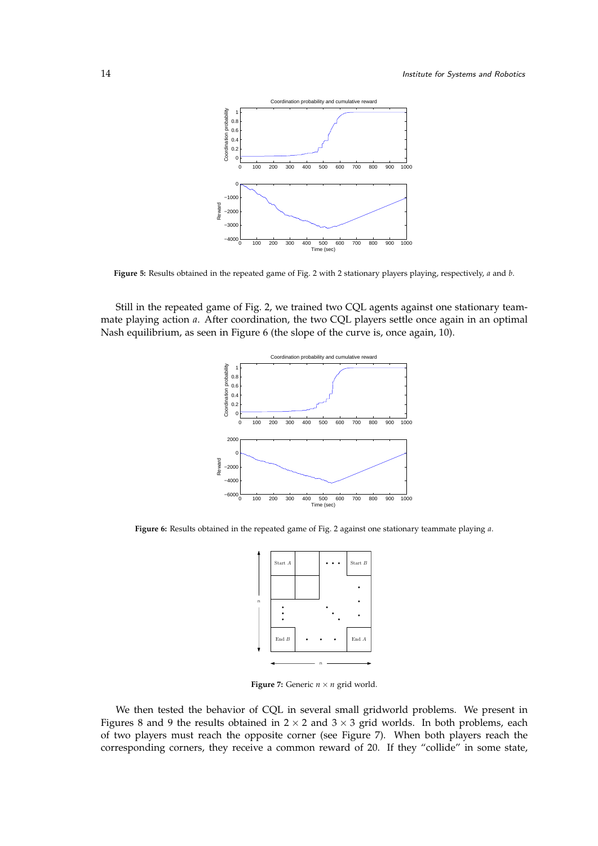

<span id="page-13-0"></span>**Figure 5:** Results obtained in the repeated game of Fig. [2](#page-4-0) with 2 stationary players playing, respectively, *a* and *b*.

Still in the repeated game of Fig. [2,](#page-4-0) we trained two CQL agents against one stationary teammate playing action *a*. After coordination, the two CQL players settle once again in an optimal Nash equilibrium, as seen in Figure [6](#page-13-1) (the slope of the curve is, once again, 10).



<span id="page-13-1"></span>**Figure 6:** Results obtained in the repeated game of Fig. [2](#page-4-0) against one stationary teammate playing *a*.



<span id="page-13-2"></span>**Figure 7:** Generic  $n \times n$  grid world.

We then tested the behavior of CQL in several small gridworld problems. We present in Figures [8](#page-14-0) and [9](#page-14-1) the results obtained in  $2 \times 2$  and  $3 \times 3$  grid worlds. In both problems, each of two players must reach the opposite corner (see Figure [7\)](#page-13-2). When both players reach the corresponding corners, they receive a common reward of 20. If they "collide" in some state,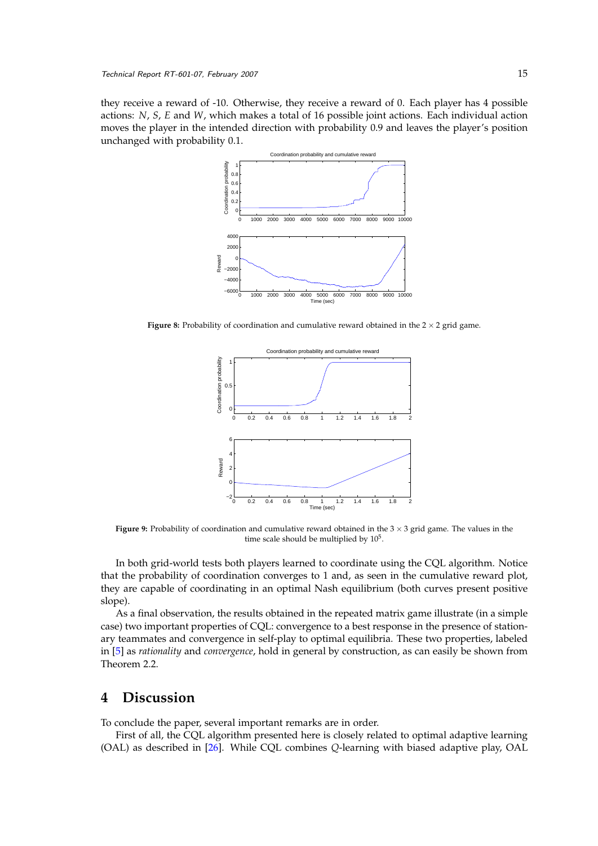they receive a reward of -10. Otherwise, they receive a reward of 0. Each player has 4 possible actions: *N*, *S*, *E* and *W*, which makes a total of 16 possible joint actions. Each individual action moves the player in the intended direction with probability 0.9 and leaves the player's position unchanged with probability 0.1.



**Figure 8:** Probability of coordination and cumulative reward obtained in the  $2 \times 2$  grid game.

<span id="page-14-0"></span>

<span id="page-14-1"></span>**Figure 9:** Probability of coordination and cumulative reward obtained in the 3  $\times$  3 grid game. The values in the time scale should be multiplied by  $10^5$ .

In both grid-world tests both players learned to coordinate using the CQL algorithm. Notice that the probability of coordination converges to 1 and, as seen in the cumulative reward plot, they are capable of coordinating in an optimal Nash equilibrium (both curves present positive slope).

As a final observation, the results obtained in the repeated matrix game illustrate (in a simple case) two important properties of CQL: convergence to a best response in the presence of stationary teammates and convergence in self-play to optimal equilibria. These two properties, labeled in [\[5\]](#page-15-1) as *rationality* and *convergence*, hold in general by construction, as can easily be shown from Theorem [2.2.](#page-10-1)

# **4 Discussion**

To conclude the paper, several important remarks are in order.

First of all, the CQL algorithm presented here is closely related to optimal adaptive learning (OAL) as described in [\[26\]](#page-17-2). While CQL combines *Q*-learning with biased adaptive play, OAL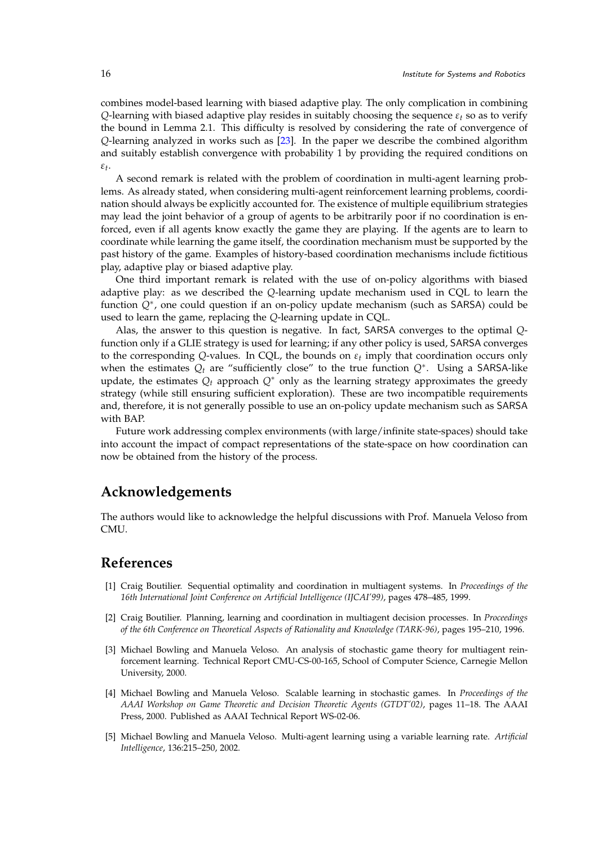combines model-based learning with biased adaptive play. The only complication in combining *Q*-learning with biased adaptive play resides in suitably choosing the sequence  $\varepsilon_t$  so as to verify the bound in Lemma [2.1.](#page-9-0) This difficulty is resolved by considering the rate of convergence of *Q*-learning analyzed in works such as [\[23\]](#page-17-5). In the paper we describe the combined algorithm and suitably establish convergence with probability 1 by providing the required conditions on *εt* .

A second remark is related with the problem of coordination in multi-agent learning problems. As already stated, when considering multi-agent reinforcement learning problems, coordination should always be explicitly accounted for. The existence of multiple equilibrium strategies may lead the joint behavior of a group of agents to be arbitrarily poor if no coordination is enforced, even if all agents know exactly the game they are playing. If the agents are to learn to coordinate while learning the game itself, the coordination mechanism must be supported by the past history of the game. Examples of history-based coordination mechanisms include fictitious play, adaptive play or biased adaptive play.

One third important remark is related with the use of on-policy algorithms with biased adaptive play: as we described the *Q*-learning update mechanism used in CQL to learn the function *Q*<sup>∗</sup> , one could question if an on-policy update mechanism (such as SARSA) could be used to learn the game, replacing the *Q*-learning update in CQL.

Alas, the answer to this question is negative. In fact, SARSA converges to the optimal *Q*function only if a GLIE strategy is used for learning; if any other policy is used, SARSA converges to the corresponding *Q*-values. In CQL, the bounds on *ε<sup>t</sup>* imply that coordination occurs only when the estimates *Q<sup>t</sup>* are "sufficiently close" to the true function *Q*<sup>∗</sup> . Using a SARSA-like update, the estimates  $Q_t$  approach  $Q^*$  only as the learning strategy approximates the greedy strategy (while still ensuring sufficient exploration). These are two incompatible requirements and, therefore, it is not generally possible to use an on-policy update mechanism such as SARSA with BAP.

Future work addressing complex environments (with large/infinite state-spaces) should take into account the impact of compact representations of the state-space on how coordination can now be obtained from the history of the process.

# **Acknowledgements**

The authors would like to acknowledge the helpful discussions with Prof. Manuela Veloso from CMU.

### **References**

- <span id="page-15-4"></span>[1] Craig Boutilier. Sequential optimality and coordination in multiagent systems. In *Proceedings of the 16th International Joint Conference on Artificial Intelligence (IJCAI'99)*, pages 478–485, 1999.
- <span id="page-15-3"></span>[2] Craig Boutilier. Planning, learning and coordination in multiagent decision processes. In *Proceedings of the 6th Conference on Theoretical Aspects of Rationality and Knowledge (TARK-96)*, pages 195–210, 1996.
- <span id="page-15-2"></span>[3] Michael Bowling and Manuela Veloso. An analysis of stochastic game theory for multiagent reinforcement learning. Technical Report CMU-CS-00-165, School of Computer Science, Carnegie Mellon University, 2000.
- <span id="page-15-0"></span>[4] Michael Bowling and Manuela Veloso. Scalable learning in stochastic games. In *Proceedings of the AAAI Workshop on Game Theoretic and Decision Theoretic Agents (GTDT'02)*, pages 11–18. The AAAI Press, 2000. Published as AAAI Technical Report WS-02-06.
- <span id="page-15-1"></span>[5] Michael Bowling and Manuela Veloso. Multi-agent learning using a variable learning rate. *Artificial Intelligence*, 136:215–250, 2002.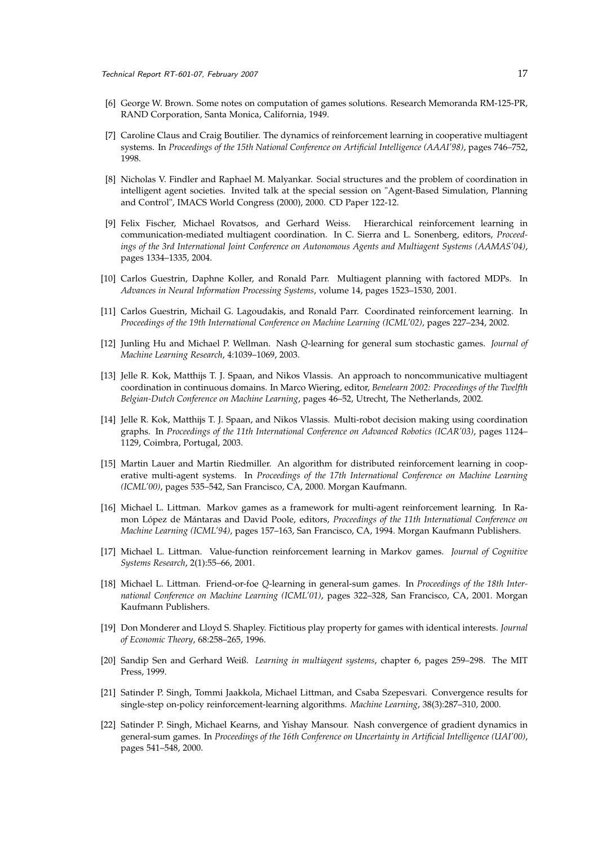- <span id="page-16-7"></span>[6] George W. Brown. Some notes on computation of games solutions. Research Memoranda RM-125-PR, RAND Corporation, Santa Monica, California, 1949.
- <span id="page-16-3"></span>[7] Caroline Claus and Craig Boutilier. The dynamics of reinforcement learning in cooperative multiagent systems. In *Proceedings of the 15th National Conference on Artificial Intelligence (AAAI'98)*, pages 746–752, 1998.
- <span id="page-16-11"></span>[8] Nicholas V. Findler and Raphael M. Malyankar. Social structures and the problem of coordination in intelligent agent societies. Invited talk at the special session on "Agent-Based Simulation, Planning and Control", IMACS World Congress (2000), 2000. CD Paper 122-12.
- <span id="page-16-10"></span>[9] Felix Fischer, Michael Rovatsos, and Gerhard Weiss. Hierarchical reinforcement learning in communication-mediated multiagent coordination. In C. Sierra and L. Sonenberg, editors, *Proceedings of the 3rd International Joint Conference on Autonomous Agents and Multiagent Systems (AAMAS'04)*, pages 1334–1335, 2004.
- <span id="page-16-12"></span>[10] Carlos Guestrin, Daphne Koller, and Ronald Parr. Multiagent planning with factored MDPs. In *Advances in Neural Information Processing Systems*, volume 14, pages 1523–1530, 2001.
- <span id="page-16-6"></span>[11] Carlos Guestrin, Michail G. Lagoudakis, and Ronald Parr. Coordinated reinforcement learning. In *Proceedings of the 19th International Conference on Machine Learning (ICML'02)*, pages 227–234, 2002.
- <span id="page-16-1"></span>[12] Junling Hu and Michael P. Wellman. Nash *Q*-learning for general sum stochastic games. *Journal of Machine Learning Research*, 4:1039–1069, 2003.
- <span id="page-16-13"></span>[13] Jelle R. Kok, Matthijs T. J. Spaan, and Nikos Vlassis. An approach to noncommunicative multiagent coordination in continuous domains. In Marco Wiering, editor, *Benelearn 2002: Proceedings of the Twelfth Belgian-Dutch Conference on Machine Learning*, pages 46–52, Utrecht, The Netherlands, 2002.
- <span id="page-16-14"></span>[14] Jelle R. Kok, Matthijs T. J. Spaan, and Nikos Vlassis. Multi-robot decision making using coordination graphs. In *Proceedings of the 11th International Conference on Advanced Robotics (ICAR'03)*, pages 1124– 1129, Coimbra, Portugal, 2003.
- <span id="page-16-9"></span>[15] Martin Lauer and Martin Riedmiller. An algorithm for distributed reinforcement learning in cooperative multi-agent systems. In *Proceedings of the 17th International Conference on Machine Learning (ICML'00)*, pages 535–542, San Francisco, CA, 2000. Morgan Kaufmann.
- <span id="page-16-0"></span>[16] Michael L. Littman. Markov games as a framework for multi-agent reinforcement learning. In Ramon López de Mántaras and David Poole, editors, *Proceedings of the 11th International Conference on Machine Learning (ICML'94)*, pages 157–163, San Francisco, CA, 1994. Morgan Kaufmann Publishers.
- <span id="page-16-15"></span>[17] Michael L. Littman. Value-function reinforcement learning in Markov games. *Journal of Cognitive Systems Research*, 2(1):55–66, 2001.
- <span id="page-16-2"></span>[18] Michael L. Littman. Friend-or-foe *Q*-learning in general-sum games. In *Proceedings of the 18th International Conference on Machine Learning (ICML'01)*, pages 322–328, San Francisco, CA, 2001. Morgan Kaufmann Publishers.
- <span id="page-16-8"></span>[19] Don Monderer and Lloyd S. Shapley. Fictitious play property for games with identical interests. *Journal of Economic Theory*, 68:258–265, 1996.
- <span id="page-16-5"></span>[20] Sandip Sen and Gerhard Weiß. *Learning in multiagent systems*, chapter 6, pages 259–298. The MIT Press, 1999.
- <span id="page-16-16"></span>[21] Satinder P. Singh, Tommi Jaakkola, Michael Littman, and Csaba Szepesvari. Convergence results for single-step on-policy reinforcement-learning algorithms. *Machine Learning*, 38(3):287–310, 2000.
- <span id="page-16-4"></span>[22] Satinder P. Singh, Michael Kearns, and Yishay Mansour. Nash convergence of gradient dynamics in general-sum games. In *Proceedings of the 16th Conference on Uncertainty in Artificial Intelligence (UAI'00)*, pages 541–548, 2000.